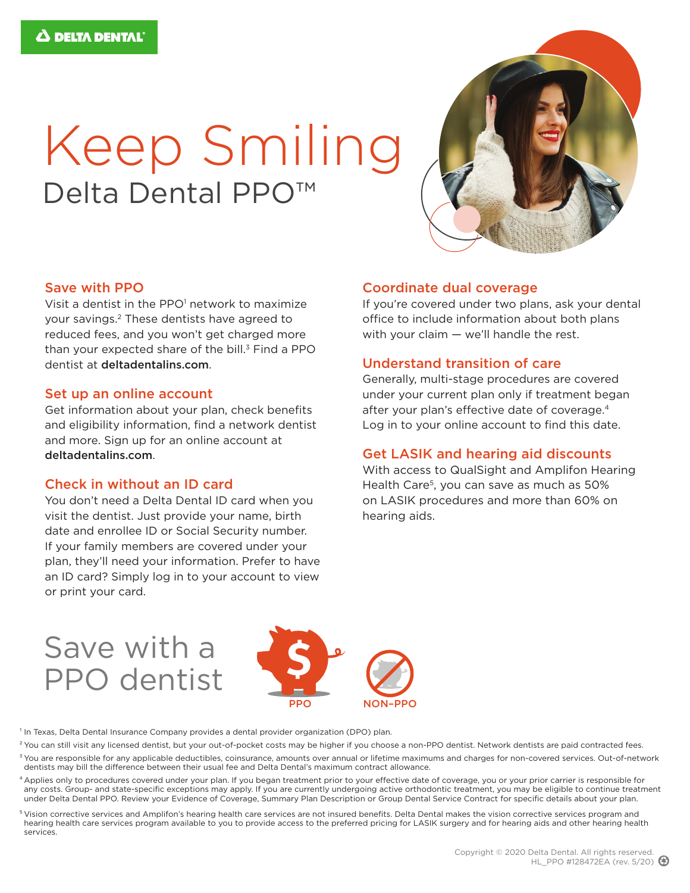# Keep Smiling Delta Dental PPO<sup>™</sup>



#### Save with PPO

Visit a dentist in the PPO<sup>1</sup> network to maximize your savings.2 These dentists have agreed to reduced fees, and you won't get charged more than your expected share of the bill. $3$  Find a PPO dentist at deltadentalins.com.

#### Set up an online account

Get information about your plan, check benefits and eligibility information, find a network dentist and more. Sign up for an online account at deltadentalins.com.

#### Check in without an ID card

You don't need a Delta Dental ID card when you visit the dentist. Just provide your name, birth date and enrollee ID or Social Security number. If your family members are covered under your plan, they'll need your information. Prefer to have an ID card? Simply log in to your account to view or print your card.

#### Coordinate dual coverage

If you're covered under two plans, ask your dental office to include information about both plans with your claim — we'll handle the rest.

#### Understand transition of care

Generally, multi-stage procedures are covered under your current plan only if treatment began after your plan's effective date of coverage.<sup>4</sup> Log in to your online account to find this date.

#### Get LASIK and hearing aid discounts

With access to QualSight and Amplifon Hearing Health Care<sup>5</sup>, you can save as much as 50% on LASIK procedures and more than 60% on hearing aids.

## Save with a PPO dentist



<sup>1</sup> In Texas, Delta Dental Insurance Company provides a dental provider organization (DPO) plan.

- <sup>2</sup> You can still visit any licensed dentist, but your out-of-pocket costs may be higher if you choose a non-PPO dentist. Network dentists are paid contracted fees.
- <sup>3</sup> You are responsible for any applicable deductibles, coinsurance, amounts over annual or lifetime maximums and charges for non-covered services. Out-of-network dentists may bill the difference between their usual fee and Delta Dental's maximum contract allowance.
- 4 Applies only to procedures covered under your plan. If you began treatment prior to your effective date of coverage, you or your prior carrier is responsible for any costs. Group- and state-specific exceptions may apply. If you are currently undergoing active orthodontic treatment, you may be eligible to continue treatment under Delta Dental PPO. Review your Evidence of Coverage, Summary Plan Description or Group Dental Service Contract for specific details about your plan.
- 5 Vision corrective services and Amplifon's hearing health care services are not insured benefits. Delta Dental makes the vision corrective services program and hearing health care services program available to you to provide access to the preferred pricing for LASIK surgery and for hearing aids and other hearing health services.